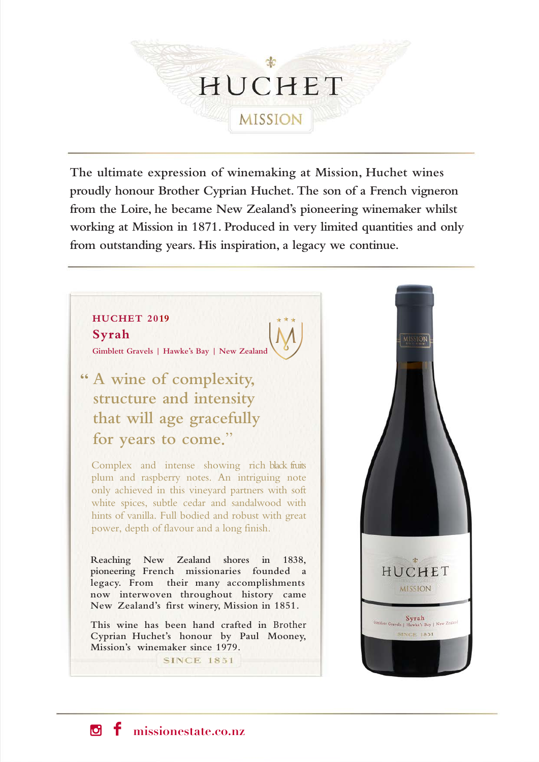

**The ultimate expression of winemaking at Mission, Huchet wines proudly honour Brother Cyprian Huchet. The son of a French vigneron from the Loire, he became New Zealand's pioneering winemaker whilst working at Mission in 1871. Produced in very limited quantities and only from outstanding years. His inspiration, a legacy we continue.**

# **HUCHET 2019 Syrah**

**Gimblett Gravels | Hawke's Bay | New Zealand**

**" A wine of complexity, structure and intensity that will age gracefully for years to come**."

Complex and intense showing rich black fruits plum and raspberry notes. An intriguing note only achieved in this vineyard partners with soft white spices, subtle cedar and sandalwood with hints of vanilla. Full bodied and robust with great power, depth of flavour and a long finish.

**Reaching New Zealand shores in 1838, pioneering French missionaries founded a legacy. From their many accomplishments now interwoven throughout history came New Zealand's first winery, Mission in 1851.**

**This wine has been hand crafted in** Brother **Cyprian Huchet's honour by Paul Mooney, Mission's winemaker since 1979.**

**SINCE 1851** 



ſЫ